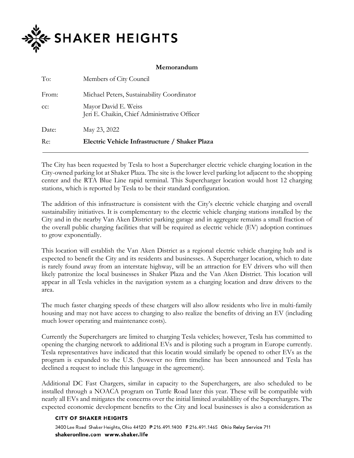

## **Memorandum**

| To:   | Members of City Council                                               |
|-------|-----------------------------------------------------------------------|
| From: | Michael Peters, Sustainability Coordinator                            |
| cc:   | Mayor David E. Weiss<br>Jeri E. Chaikin, Chief Administrative Officer |
| Date: | May 23, 2022                                                          |
| Re:   | Electric Vehicle Infrastructure / Shaker Plaza                        |

The City has been requested by Tesla to host a Supercharger electric vehicle charging location in the City-owned parking lot at Shaker Plaza. The site is the lower level parking lot adjacent to the shopping center and the RTA Blue Line rapid terminal. This Supercharger location would host 12 charging stations, which is reported by Tesla to be their standard configuration.

The addition of this infrastructure is consistent with the City's electric vehicle charging and overall sustainability initiatives. It is complementary to the electric vehicle charging stations installed by the City and in the nearby Van Aken District parking garage and in aggregate remains a small fraction of the overall public charging facilities that will be required as electric vehicle (EV) adoption continues to grow exponentially.

This location will establish the Van Aken District as a regional electric vehicle charging hub and is expected to benefit the City and its residents and businesses. A Supercharger location, which to date is rarely found away from an interstate highway, will be an attraction for EV drivers who will then likely patronize the local businesses in Shaker Plaza and the Van Aken District. This location will appear in all Tesla vehicles in the navigation system as a charging location and draw drivers to the area.

The much faster charging speeds of these chargers will also allow residents who live in multi-family housing and may not have access to charging to also realize the benefits of driving an EV (including much lower operating and maintenance costs).

Currently the Superchargers are limited to charging Tesla vehicles; however, Tesla has committed to opening the charging network to additional EVs and is piloting such a program in Europe currently. Tesla representatives have indicated that this locatin would similarly be opened to other EVs as the program is expanded to the U.S. (however no firm timeline has been announced and Tesla has declined a request to include this language in the agreement).

Additional DC Fast Chargers, similar in capacity to the Superchargers, are also scheduled to be installed through a NOACA program on Tuttle Road later this year. These will be compatible with nearly all EVs and mitigates the concerns over the initial limited availablility of the Superchargers. The expected economic development benefits to the City and local businesses is also a consideration as

## **CITY OF SHAKER HEIGHTS**

3400 Lee Road Shaker Heights, Ohio 44120 P 216.491.1400 F 216.491.1465 Ohio Relay Service 711 shakeronline.com www.shaker.life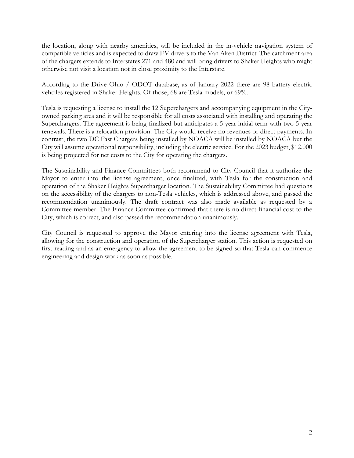the location, along with nearby amenities, will be included in the in-vehicle navigation system of compatible vehicles and is expected to draw EV drivers to the Van Aken District. The catchment area of the chargers extends to Interstates 271 and 480 and will bring drivers to Shaker Heights who might otherwise not visit a location not in close proximity to the Interstate.

According to the Drive Ohio / ODOT database, as of January 2022 there are 98 battery electric vehciles registered in Shaker Heights. Of those, 68 are Tesla models, or 69%.

Tesla is requesting a license to install the 12 Superchargers and accompanying equipment in the Cityowned parking area and it will be responsible for all costs associated with installing and operating the Superchargers. The agreement is being finalized but anticipates a 5-year initial term with two 5-year renewals. There is a relocation provision. The City would receive no revenues or direct payments. In contrast, the two DC Fast Chargers being installed by NOACA will be installed by NOACA but the City will assume operational responsibility, including the electric service. For the 2023 budget, \$12,000 is being projected for net costs to the City for operating the chargers.

The Sustainability and Finance Committees both recommend to City Council that it authorize the Mayor to enter into the license agreement, once finalized, with Tesla for the construction and operation of the Shaker Heights Supercharger location. The Sustainability Committee had questions on the accessibility of the chargers to non-Tesla vehicles, which is addressed above, and passed the recommendation unanimously. The draft contract was also made available as requested by a Committee member. The Finance Committee confirmed that there is no direct financial cost to the City, which is correct, and also passed the recommendation unanimously.

City Council is requested to approve the Mayor entering into the license agreement with Tesla, allowing for the construction and operation of the Supercharger station. This action is requested on first reading and as an emergency to allow the agreement to be signed so that Tesla can commence engineering and design work as soon as possible.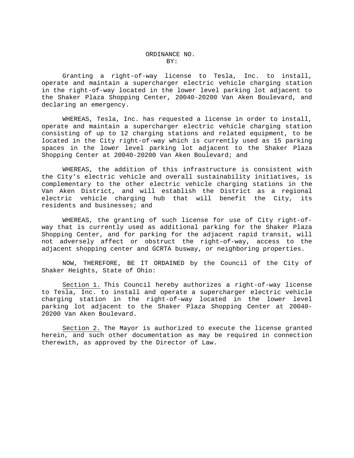Granting a right-of-way license to Tesla, Inc. to install, operate and maintain a supercharger electric vehicle charging station in the right-of-way located in the lower level parking lot adjacent to the Shaker Plaza Shopping Center, 20040-20200 Van Aken Boulevard, and declaring an emergency.

WHEREAS, Tesla, Inc. has requested a license in order to install, operate and maintain a supercharger electric vehicle charging station consisting of up to 12 charging stations and related equipment, to be located in the City right-of-way which is currently used as 15 parking spaces in the lower level parking lot adjacent to the Shaker Plaza Shopping Center at 20040-20200 Van Aken Boulevard; and

WHEREAS, the addition of this infrastructure is consistent with the City's electric vehicle and overall sustainability initiatives, is complementary to the other electric vehicle charging stations in the Van Aken District, and will establish the District as a regional electric vehicle charging hub that will benefit the City, residents and businesses; and

WHEREAS, the granting of such license for use of City right-ofway that is currently used as additional parking for the Shaker Plaza Shopping Center, and for parking for the adjacent rapid transit, will not adversely affect or obstruct the right–of-way, access to the adjacent shopping center and GCRTA busway, or neighboring properties.

NOW, THEREFORE, BE IT ORDAINED by the Council of the City of Shaker Heights, State of Ohio:

Section 1. This Council hereby authorizes a right-of-way license to Tesla, Inc. to install and operate a supercharger electric vehicle charging station in the right-of-way located in the lower level parking lot adjacent to the Shaker Plaza Shopping Center at 20040- 20200 Van Aken Boulevard.

Section 2. The Mayor is authorized to execute the license granted herein, and such other documentation as may be required in connection therewith, as approved by the Director of Law.